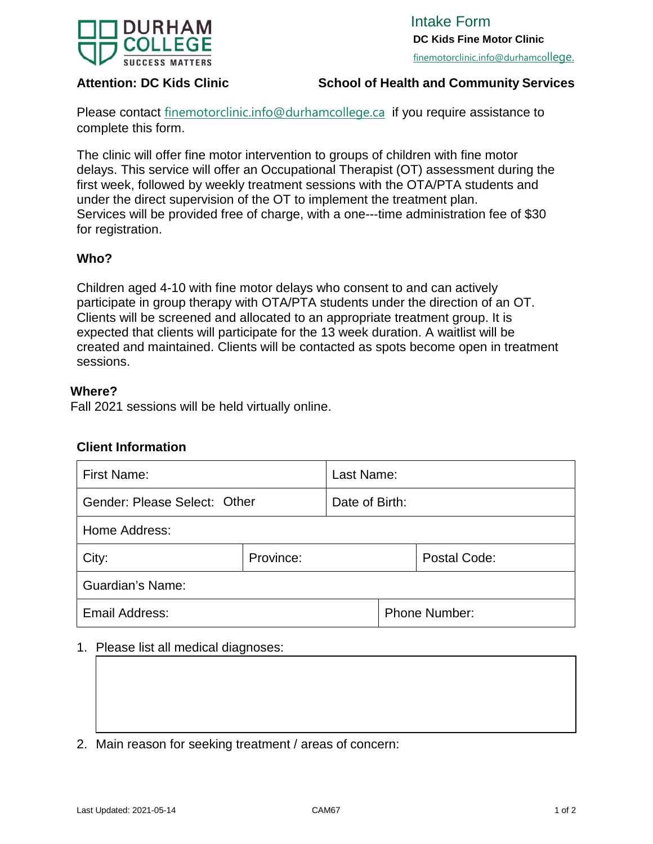

# **Attention: DC Kids Clinic Schoo[l of Health a](mailto:finemotorclinic.info@durhamcollege.ca)nd Community Services**

Please contact [finemotorclinic.info@durhamcollege.ca](mailto:finemotorclinic.info@durhamcollege.ca) [i](mailto:speechandlanguageclinic@durhamcollege.ca)f you require assistance to complete this form.

The clinic will offer fine motor intervention to groups of children with fine motor delays. This service will offer an Occupational Therapist (OT) assessment during the first week, followed by weekly treatment sessions with the OTA/PTA students and under the direct supervision of the OT to implement the treatment plan. Services will be provided free of charge, with a one---time administration fee of \$30 for registration.

## **Who?**

Children aged 4-10 with fine motor delays who consent to and can actively participate in group therapy with OTA/PTA students under the direction of an OT. Clients will be screened and allocated to an appropriate treatment group. It is expected that clients will participate for the 13 week duration. A waitlist will be created and maintained. Clients will be contacted as spots become open in treatment sessions.

### **Where?**

Fall 2021 sessions will be held virtually online.

## **Client Information**

| <b>First Name:</b>           |           | Last Name:           |  |              |  |  |  |
|------------------------------|-----------|----------------------|--|--------------|--|--|--|
| Gender: Please Select: Other |           | Date of Birth:       |  |              |  |  |  |
| Home Address:                |           |                      |  |              |  |  |  |
| City:                        | Province: |                      |  | Postal Code: |  |  |  |
| <b>Guardian's Name:</b>      |           |                      |  |              |  |  |  |
| Email Address:               |           | <b>Phone Number:</b> |  |              |  |  |  |

## 1. Please list all medical diagnoses:

2. Main reason for seeking treatment / areas of concern: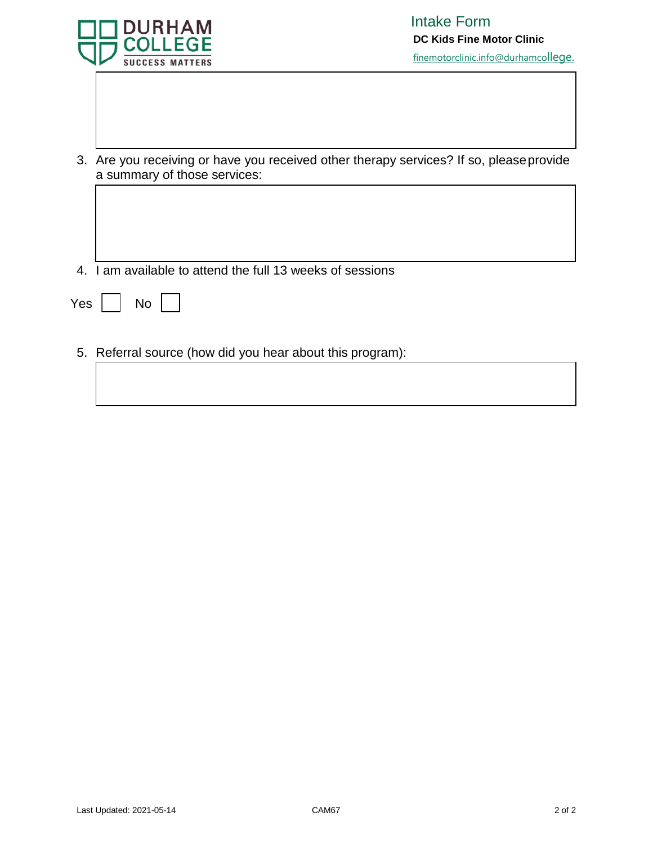

- 3. Are you receiving or have you received other therapy services? If so, pleaseprovide a summary of those services:
- 4. I am available to attend the full 13 weeks of sessions

| Yes |  | N٥ |  |  |
|-----|--|----|--|--|
|-----|--|----|--|--|

5. Referral source (how did you hear about this program):